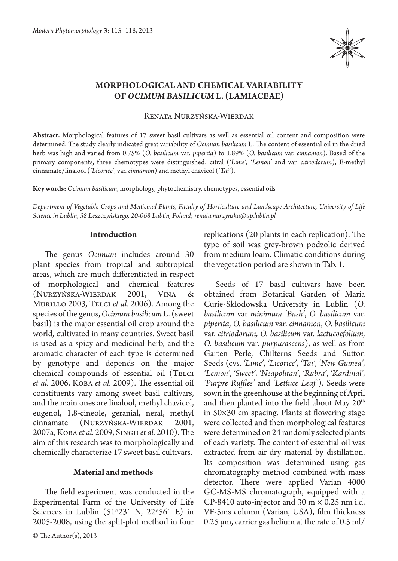

# **Morphological and chemical variability of** *Ocimum basilicum* **L. (Lamiaceae)**

Renata Nurzyńska-Wierdak

**Abstract.** Morphological features of 17 sweet basil cultivars as well as essential oil content and composition were determined. The study clearly indicated great variability of *Ocimum basilicum* L. The content of essential oil in the dried herb was high and varied from 0.75% (*O. basilicum* var. *piperita*) to 1.89% (*O. basilicum* var. *cinnamon*). Based of the primary components, three chemotypes were distinguished: citral (*'Lime', 'Lemon'* and var. *citriodorum*), E-methyl cinnamate/linalool (*'Licorice'*, var. *cinnamon*) and methyl chavicol (*'Tai'*).

**Key words:** *Ocimum basilicum,* morphology, phytochemistry, chemotypes, essential oils

*Department of Vegetable Crops and Medicinal Plants, Faculty of Horticulture and Landscape Architecture, University of Life Science in Lublin, 58 Leszczyńskiego, 20-068 Lublin, Poland; renata.nurzynska@up.lublin.pl*

#### **Introduction**

The genus *Ocimum* includes around 30 plant species from tropical and subtropical areas, which are much differentiated in respect of morphological and chemical features (Nurzyńska-Wierdak 2001, Vina & Murillo 2003, Telci *et al.* 2006). Among the species of the genus, *Ocimum basilicum* L. (sweet basil) is the major essential oil crop around the world, cultivated in many countries. Sweet basil is used as a spicy and medicinal herb, and the aromatic character of each type is determined by genotype and depends on the major chemical compounds of essential oil (TELCI *et al.* 2006, Кова *et al.* 2009). The essential oil constituents vary among sweet basil cultivars, and the main ones are linalool, methyl chavicol, eugenol, 1,8-cineole, geranial, neral, methyl cinnamate (NURZYŃSKA-WIERDAK 2001, 2007a, Koba *et al.* 2009, Singh *et al.* 2010). The aim of this research was to morphologically and chemically characterize 17 sweet basil cultivars.

## **Material and methods**

The field experiment was conducted in the Experimental Farm of the University of Life Sciences in Lublin  $(51°23' N, 22°56' E)$  in 2005-2008, using the split-plot method in four replications (20 plants in each replication). The type of soil was grey-brown podzolic derived from medium loam. Climatic conditions during the vegetation period are shown in Tab. 1.

Seeds of 17 basil cultivars have been obtained from Botanical Garden of Maria Curie-Skłodowska University in Lublin (*O. basilicum* var *minimum 'Bush'*, *O. basilicum* var. *piperita*, *O. basilicum* var. *cinnamon*, *O. basilicum*  var. *citriodorum, O. basilicum* var. *lactucoefolium, O. basilicum* var. *purpurascens*), as well as from Garten Perle, Chilterns Seeds and Sutton Seeds (cvs. *'Lime', 'Licorice', 'Tai', 'New Guinea', 'Lemon', 'Sweet', 'Neapolitan', 'Rubra', 'Kardinal', 'Purpre Ruffles'* and *'Lettuce Leaf'*). Seeds were sown in the greenhouse at the beginning of April and then planted into the field about May  $20<sup>th</sup>$ in 50×30 cm spacing. Plants at flowering stage were collected and then morphological features were determined on 24 randomly selected plants of each variety. The content of essential oil was extracted from air-dry material by distillation. Its composition was determined using gas chromatography method combined with mass detector. There were applied Varian 4000 GC-MS-MS chromatograph, equipped with a CP-8410 auto-injector and  $30 \text{ m} \times 0.25 \text{ nm}$  i.d. VF-5ms column (Varian, USA), film thickness 0.25  $\mu$ m, carrier gas helium at the rate of 0.5 ml/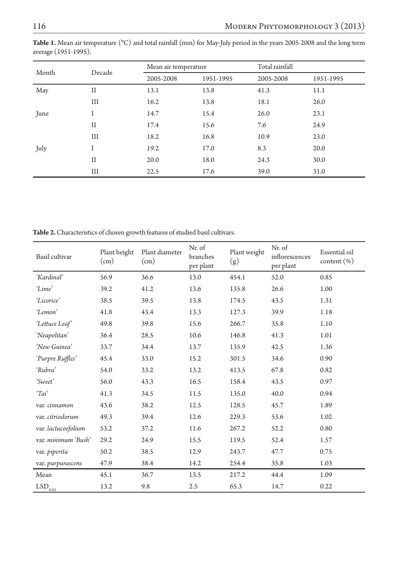| Month | Decade      | Mean air temperature |           | Total rainfall |           |
|-------|-------------|----------------------|-----------|----------------|-----------|
|       |             | 2005-2008            | 1951-1995 | 2005-2008      | 1951-1995 |
| May   | $_{\rm II}$ | 13.1                 | 13.8      | 41.3           | 11.1      |
|       | Ш           | 16.2                 | 13.8      | 18.1           | 26.0      |
| June  | -1          | 14.7                 | 15.4      | 26.0           | 23.1      |
|       | $_{\rm II}$ | 17.4                 | 15.6      | 7.6            | 24.9      |
|       | Ш           | 18.2                 | 16.8      | 10.9           | 23.0      |
| July  |             | 19.2                 | 17.0      | 8.3            | 20.0      |
|       | $_{\rm II}$ | 20.0                 | 18.0      | 24.3           | 30.0      |
|       | Ш           | 22.5                 | 17.6      | 39.0           | 31.0      |

**Table 1.** Mean air temperature (°C) and total rainfall (mm) for May-July period in the years 2005-2008 and the long term average (1951-1995).

**Table 2.** Characteristics of chosen growth features of studied basil cultivars.

| Basil cultivar           | Plant height<br>(cm) | Plant diameter<br>(cm) | Nr. of<br>branches<br>per plant | Plant weight<br>(g) | Nr. of<br>inflorescences<br>per plant | Essential oil<br>content (%) |
|--------------------------|----------------------|------------------------|---------------------------------|---------------------|---------------------------------------|------------------------------|
| 'Kardinal'               | 56.9                 | 36.6                   | 13.0                            | 454.1               | 52.0                                  | 0.85                         |
| 'Lime'                   | 39.2                 | 41.2                   | 13.6                            | 135.8               | 26.6                                  | 1.00                         |
| 'Licorice'               | 38.5                 | 39.5                   | 13.8                            | 174.5               | 43.5                                  | 1.31                         |
| 'Lemon'                  | 41.8                 | 43.4                   | 13.3                            | 127.3               | 39.9                                  | 1.18                         |
| 'Lettuce Leaf'           | 49.8                 | 39.8                   | 15.6                            | 266.7               | 35.8                                  | 1.10                         |
| 'Neapolitan'             | 36.4                 | 28.5                   | 10.6                            | 146.8               | 41.3                                  | 1.01                         |
| 'New Guinea'             | 33.7                 | 34.4                   | 13.7                            | 135.9               | 42.5                                  | 1.36                         |
| 'Purpre Ruffles'         | 45.4                 | 33.0                   | 15.2                            | 301.5               | 34.6                                  | 0.90                         |
| 'Rubra'                  | 54.0                 | 33.2                   | 13.2                            | 413.5               | 67.8                                  | 0.82                         |
| 'Sweet'                  | 56.0                 | 43.3                   | 16.5                            | 158.4               | 43.5                                  | 0.97                         |
| 'Tai'                    | 41.3                 | 34.5                   | 11.5                            | 135.0               | 40.0                                  | 0.94                         |
| var. cinnamon            | 43.6                 | 38.2                   | 12.5                            | 128.5               | 45.7                                  | 1.89                         |
| var. citriodorum         | 49.3                 | 39.4                   | 12.6                            | 229.3               | 53.6                                  | 1.02                         |
| var. lactucoefolium      | 53.2                 | 37.2                   | 11.6                            | 267.2               | 52.2                                  | 0.80                         |
| var. minimum 'Bush'      | 29.2                 | 24.9                   | 15.5                            | 119.5               | 52.4                                  | 1.57                         |
| var. piperita            | 50.2                 | 38.5                   | 12.9                            | 243.7               | 47.7                                  | 0.75                         |
| var. purpurascens        | 47.9                 | 38.4                   | 14.2                            | 254.4               | 35.8                                  | 1.03                         |
| Mean                     | 45.1                 | 36.7                   | 13.5                            | 217.2               | 44.4                                  | 1.09                         |
| $LSD_{\underline{0.05}}$ | 13.2                 | 9.8                    | 2.5                             | 65.3                | 14.7                                  | 0.22                         |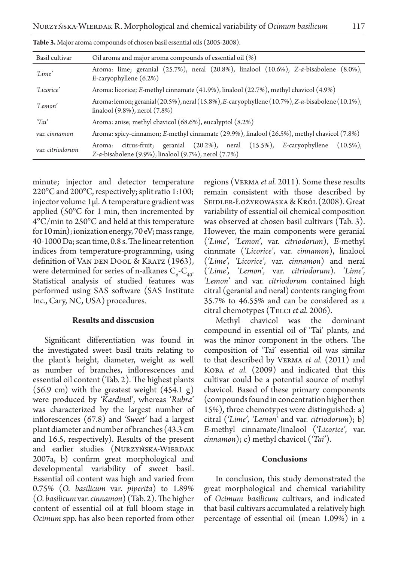| Basil cultivar   | Oil aroma and major aroma compounds of essential oil (%)                                                                                                    |  |  |  |
|------------------|-------------------------------------------------------------------------------------------------------------------------------------------------------------|--|--|--|
| 'Lime'           | Aroma: lime; geranial $(25.7%)$ , neral $(20.8%)$ , linalool $(10.6%)$ , Z-a-bisabolene $(8.0%)$ ,<br>$E$ -caryophyllene (6.2%)                             |  |  |  |
| 'Licorice'       | Aroma: licorice; E-methyl cinnamate (41.9%), linalool (22.7%), methyl chavicol (4.9%)                                                                       |  |  |  |
| 'Lemon'          | Aroma: lemon; geranial (20.5%), neral (15.8%), E-caryophyllene (10.7%), Z-a-bisabolene (10.1%),<br>linalool (9.8%), nerol (7.8%)                            |  |  |  |
| 'Tai'            | Aroma: anise; methyl chavicol (68.6%), eucalyptol (8.2%)                                                                                                    |  |  |  |
| var. cinnamon    | Aroma: spicy-cinnamon; E-methyl cinnamate (29.9%), linalool (26.5%), methyl chavicol (7.8%)                                                                 |  |  |  |
| var. citriodorum | citrus-fruit; geranial (20.2%), neral (15.5%), E-caryophyllene<br>$(10.5\%)$ .<br>Aroma:<br>Z-a-bisabolene $(9.9\%)$ , linalool $(9.7\%)$ , nerol $(7.7\%)$ |  |  |  |

**Table 3.** Major aroma compounds of chosen basil essential oils (2005-2008).

minute; injector and detector temperature 220°C and 200°C, respectively; split ratio 1:100; injector volume 1µl. A temperature gradient was applied (50°C for 1 min, then incremented by 4°C/min to 250°C and held at this temperature for 10 min); ionization energy, 70 eV; mass range, 40-1000 Da; scan time, 0.8 s. The linear retention indices from temperature-programming, using definition of VAN DEN DOOL & KRATZ (1963), were determined for series of n-alkanes  $C_{6}$ - $C_{40}$ . Statistical analysis of studied features was performed using SAS software (SAS Institute Inc., Cary, NC, USA) procedures.

#### **Results and disscusion**

Significant differentiation was found in the investigated sweet basil traits relating to the plant's height, diameter, weight as well as number of branches, inflorescences and essential oil content (Tab. 2). The highest plants  $(56.9 \text{ cm})$  with the greatest weight  $(454.1 \text{ g})$ were produced by *'Kardinal'*, whereas '*Rubra*' was characterized by the largest number of inflorescences (67.8) and *'Sweet'* had a largest plant diameter and number of branches (43.3 cm and 16.5, respectively). Results of the present and earlier studies (NURZYŃSKA-WIERDAK 2007a, b) confirm great morphological and developmental variability of sweet basil. Essential oil content was high and varied from 0.75% (*O. basilicum* var. *piperita*) to 1.89% (*O. basilicum* var. *cinnamon*) (Tab. 2). The higher content of essential oil at full bloom stage in *Ocimum* spp. has also been reported from other

regions (Verma *et al.* 2011). Some these results remain consistent with those described by Seidler-Łożykowaska & Król (2008). Great variability of essential oil chemical composition was observed at chosen basil cultivars (Tab. 3). However, the main components were geranial (*'Lime', 'Lemon',* var. *citriodorum*), *E*-methyl cinnmate (*'Licorice'*, var. *cinnamon*), linalool (*'Lime', 'Licorice',* var. *cinnamon*) and neral (*'Lime', 'Lemon',* var. *citriodorum*). *'Lime', 'Lemon'* and var. *citriodorum* contained high citral (geranial and neral) contents ranging from 35.7% to 46.55% and can be considered as a citral chemotypes (Telci *et al.* 2006).

Methyl chavicol was the dominant compound in essential oil of 'Tai' plants, and was the minor component in the others. The composition of 'Tai' essential oil was similar to that described by Verma *et al.* (2011) and Koba *et al.* (2009) and indicated that this cultivar could be a potential source of methyl chavicol. Based of these primary components (compounds found in concentration higher then 15%), three chemotypes were distinguished: a) citral (*'Lime', 'Lemon'* and var. *citriodorum*); b) *E*-methyl cinnamate/linalool (*'Licorice',* var. *cinnamon*); c) methyl chavicol (*'Tai'*).

## **Conclusions**

In conclusion, this study demonstrated the great morphological and chemical variability of *Ocimum basilicum* cultivars, and indicated that basil cultivars accumulated a relatively high percentage of essential oil (mean 1.09%) in a